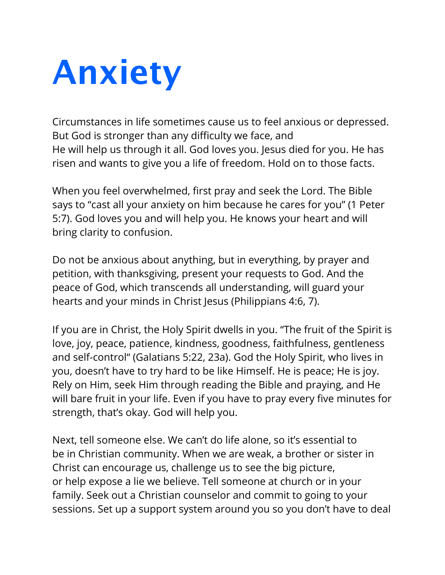## **Anxiety**

Circumstances in life sometimes cause us to feel anxious or depressed. But God is stronger than any difficulty we face, and He will help us through it all. God loves you. Jesus died for you. He has risen and wants to give you a life of freedom. Hold on to those facts.

When you feel overwhelmed, first pray and seek the Lord. The Bible says to "cast all your anxiety on him because he cares for you" (1 Peter 5:7). God loves you and will help you. He knows your heart and will bring clarity to confusion.

Do not be anxious about anything, but in everything, by prayer and petition, with thanksgiving, present your requests to God. And the peace of God, which transcends all understanding, will guard your hearts and your minds in Christ Jesus (Philippians 4:6, 7).

If you are in Christ, the Holy Spirit dwells in you. "The fruit of the Spirit is love, joy, peace, patience, kindness, goodness, faithfulness, gentleness and self-control" (Galatians 5:22, 23a). God the Holy Spirit, who lives in you, doesn't have to try hard to be like Himself. He is peace; He is joy. Rely on Him, seek Him through reading the Bible and praying, and He will bare fruit in your life. Even if you have to pray every five minutes for strength, that's okay. God will help you.

Next, tell someone else. We can't do life alone, so it's essential to be in Christian community. When we are weak, a brother or sister in Christ can encourage us, challenge us to see the big picture, or help expose a lie we believe. Tell someone at church or in your family. Seek out a Christian counselor and commit to going to your sessions. Set up a support system around you so you don't have to deal